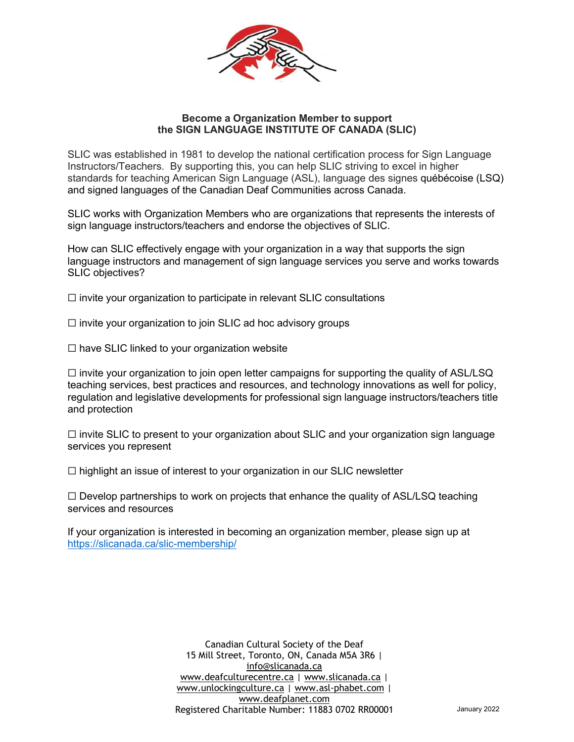

## **Become a Organization Member to support the SIGN LANGUAGE INSTITUTE OF CANADA (SLIC)**

SLIC was established in 1981 to develop the national certification process for Sign Language Instructors/Teachers. By supporting this, you can help SLIC striving to excel in higher standards for teaching American Sign Language (ASL), language des signes québécoise (LSQ) and signed languages of the Canadian Deaf Communities across Canada.

SLIC works with Organization Members who are organizations that represents the interests of sign language instructors/teachers and endorse the objectives of SLIC.

How can SLIC effectively engage with your organization in a way that supports the sign language instructors and management of sign language services you serve and works towards SLIC objectives?

 $\Box$  invite your organization to participate in relevant SLIC consultations

- $\Box$  invite your organization to join SLIC ad hoc advisory groups
- $\Box$  have SLIC linked to your organization website

 $\Box$  invite your organization to join open letter campaigns for supporting the quality of ASL/LSQ teaching services, best practices and resources, and technology innovations as well for policy, regulation and legislative developments for professional sign language instructors/teachers title and protection

 $\Box$  invite SLIC to present to your organization about SLIC and your organization sign language services you represent

☐ highlight an issue of interest to your organization in our SLIC newsletter

 $\Box$  Develop partnerships to work on projects that enhance the quality of ASL/LSQ teaching services and resources

If your organization is interested in becoming an organization member, please sign up at https://slicanada.ca/slic-membership/

> Canadian Cultural Society of the Deaf 15 Mill Street, Toronto, ON, Canada M5A 3R6 | info@slicanada.ca www.deafculturecentre.ca | www.slicanada.ca | www.unlockingculture.ca | www.asl-phabet.com | www.deafplanet.com Registered Charitable Number: 11883 0702 RR00001 January 2022